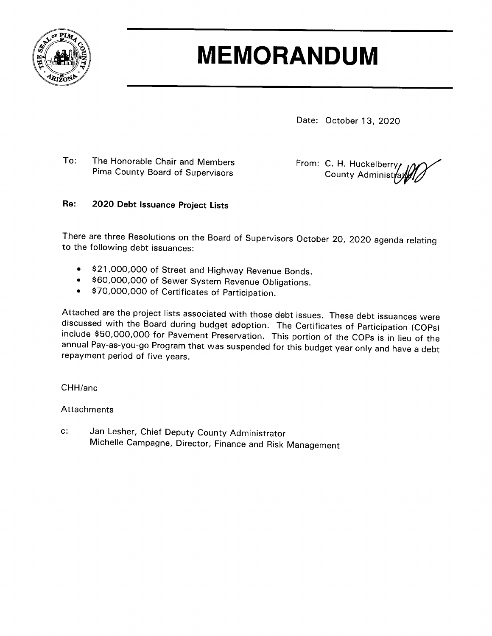

## **MEMORANDUM**

Date: October 13, 2020

The Honorable Chair and Members To: Pima County Board of Supervisors

From: C. H. Huckelberry **County Administr** 

## Re: 2020 Debt Issuance Project Lists

There are three Resolutions on the Board of Supervisors October 20, 2020 agenda relating to the following debt issuances:

- \$21,000,000 of Street and Highway Revenue Bonds.  $\bullet$
- \$60,000,000 of Sewer System Revenue Obligations.
- \$70,000,000 of Certificates of Participation.  $\bullet$

Attached are the project lists associated with those debt issues. These debt issuances were discussed with the Board during budget adoption. The Certificates of Participation (COPs) include \$50,000,000 for Pavement Preservation. This portion of the COPs is in lieu of the annual Pay-as-you-go Program that was suspended for this budget year only and have a debt repayment period of five years.

## CHH/anc

## Attachments

Jan Lesher, Chief Deputy County Administrator  $C$ : Michelle Campagne, Director, Finance and Risk Management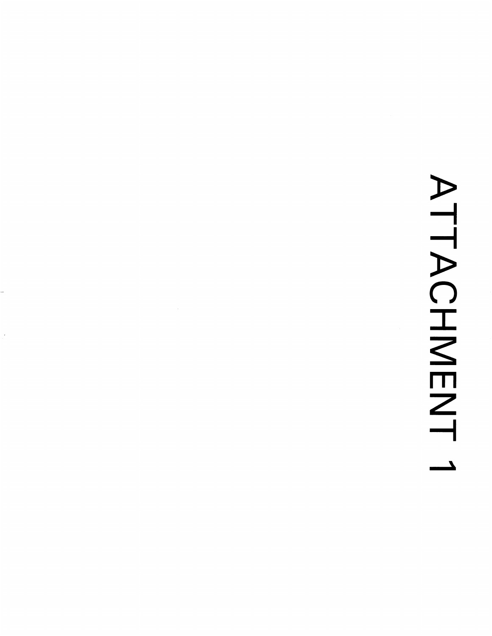## ATTACHMENT  $\mathbf{L}$

J.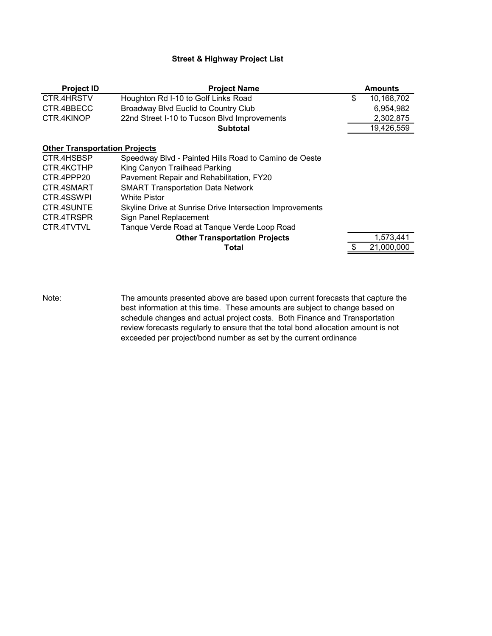## Street & Highway Project List

| <b>Project ID</b>                    | <b>Project Name</b>                                      | <b>Amounts</b>   |
|--------------------------------------|----------------------------------------------------------|------------------|
| CTR.4HRSTV                           | Houghton Rd I-10 to Golf Links Road                      | \$<br>10,168,702 |
| CTR.4BBECC                           | Broadway Blvd Euclid to Country Club                     | 6,954,982        |
| CTR.4KINOP                           | 22nd Street I-10 to Tucson Blvd Improvements             | 2,302,875        |
|                                      | <b>Subtotal</b>                                          | 19,426,559       |
| <b>Other Transportation Projects</b> |                                                          |                  |
| CTR.4HSBSP                           | Speedway Blvd - Painted Hills Road to Camino de Oeste    |                  |
| CTR.4KCTHP                           | King Canyon Trailhead Parking                            |                  |
| CTR.4PPP20                           | Pavement Repair and Rehabilitation, FY20                 |                  |
| CTR.4SMART                           | <b>SMART Transportation Data Network</b>                 |                  |
| CTR.4SSWPI                           | White Pistor                                             |                  |
| CTR.4SUNTE                           | Skyline Drive at Sunrise Drive Intersection Improvements |                  |
| CTR.4TRSPR                           | Sign Panel Replacement                                   |                  |
| CTR.4TVTVL                           | Tanque Verde Road at Tanque Verde Loop Road              |                  |
|                                      | <b>Other Transportation Projects</b>                     | 1,573,441        |
|                                      | Total                                                    | 21,000,000       |

Note:

The amounts presented above are based upon current forecasts that capture the best information at this time. These amounts are subject to change based on schedule changes and actual project costs. Both Finance and Transportation review forecasts regularly to ensure that the total bond allocation amount is not exceeded per project/bond number as set by the current ordinance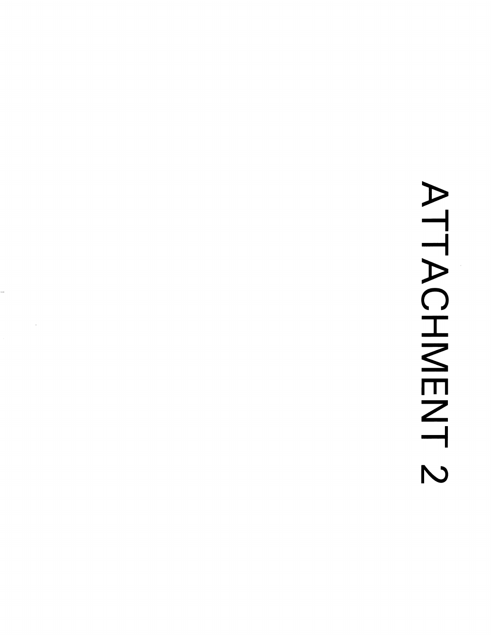# ATTACHMENT 2

 $\bar{\beta}$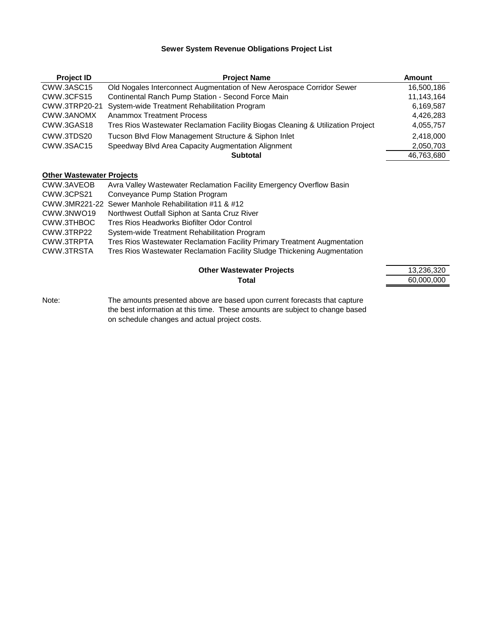## **Sewer System Revenue Obligations Project List**

| <b>Project ID</b>                | <b>Project Name</b>                                                             | Amount     |
|----------------------------------|---------------------------------------------------------------------------------|------------|
| CWW.3ASC15                       | Old Nogales Interconnect Augmentation of New Aerospace Corridor Sewer           | 16.500.186 |
| CWW.3CFS15                       | Continental Ranch Pump Station - Second Force Main                              | 11,143,164 |
| CWW.3TRP20-21                    | System-wide Treatment Rehabilitation Program                                    | 6,169,587  |
| CWW.3ANOMX                       | <b>Anammox Treatment Process</b>                                                | 4,426,283  |
| CWW.3GAS18                       | Tres Rios Wastewater Reclamation Facility Biogas Cleaning & Utilization Project | 4,055,757  |
| CWW.3TDS20                       | Tucson Blvd Flow Management Structure & Siphon Inlet                            | 2.418.000  |
| CWW.3SAC15                       | Speedway Blvd Area Capacity Augmentation Alignment                              | 2,050,703  |
|                                  | <b>Subtotal</b>                                                                 | 46,763,680 |
| <b>Other Wastewater Projects</b> |                                                                                 |            |
| CWW.3AVEOB                       | Avra Valley Wastewater Reclamation Facility Emergency Overflow Basin            |            |
| CWW.3CPS21                       | Conveyance Pump Station Program                                                 |            |
|                                  | CWW.3MR221-22 Sewer Manhole Rehabilitation #11 & #12                            |            |
|                                  | Modelland College District of College College District                          |            |

- CWW.3NWO19 Northwest Outfall Siphon at Santa Cruz River
- 
- CWW.3THBOC Tres Rios Headworks Biofilter Odor Control CWW.3TRP22 System-wide Treatment Rehabilitation Program

Tres Rios Wastewater Reclamation Facility Primary Treatment Augmentation

CWW.3TRSTA Tres Rios Wastewater Reclamation Facility Sludge Thickening Augmentation

## **Other Wastewater Projects** 13,236,3200 13,236,326,3200 13,236,326,3200 13,236,3200 13,236,3200 13,236,3200 13,236,320 **Total** 60,000,000

| 13,236,320 |
|------------|
| 60,000,000 |

Note: The amounts presented above are based upon current forecasts that capture the best information at this time. These amounts are subject to change based on schedule changes and actual project costs.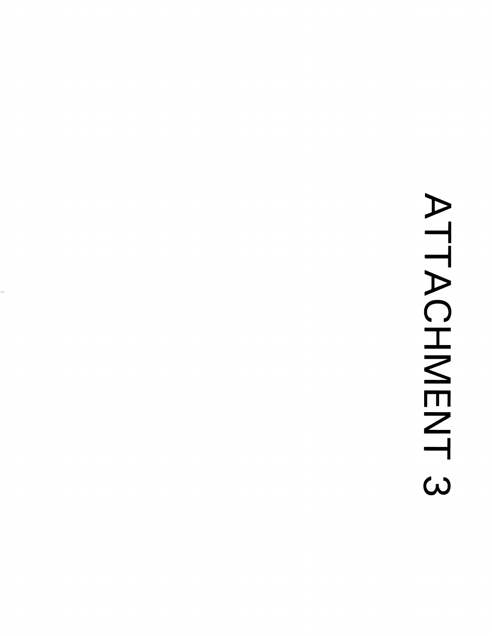## ATTACHMENT 3

 $\overline{a}$